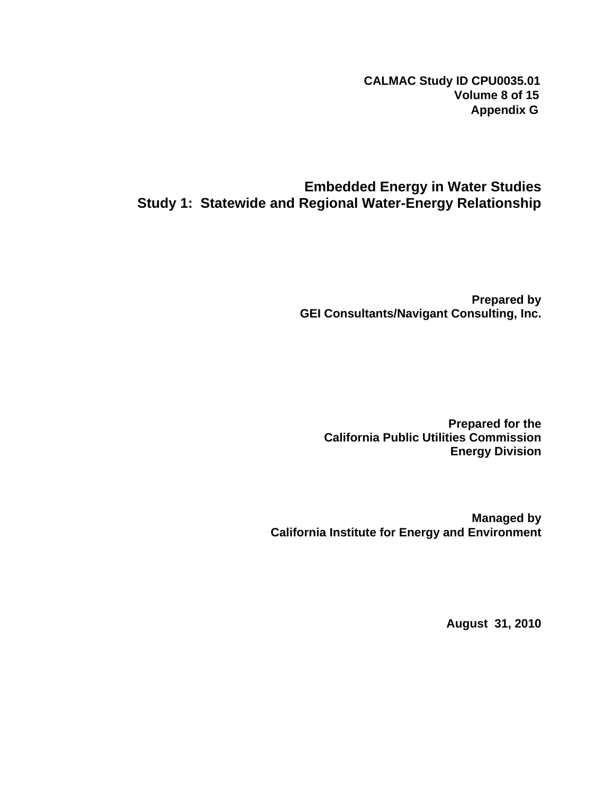**CALMAC Study ID CPU0035.01 Volume 8 of 15 Appendix G**

## **Embedded Energy in Water Studies Study 1: Statewide and Regional Water-Energy Relationship**

**Prepared by GEI Consultants/Navigant Consulting, Inc.** 

**Prepared for the California Public Utilities Commission Energy Division** 

**Managed by California Institute for Energy and Environment** 

**August 31, 2010**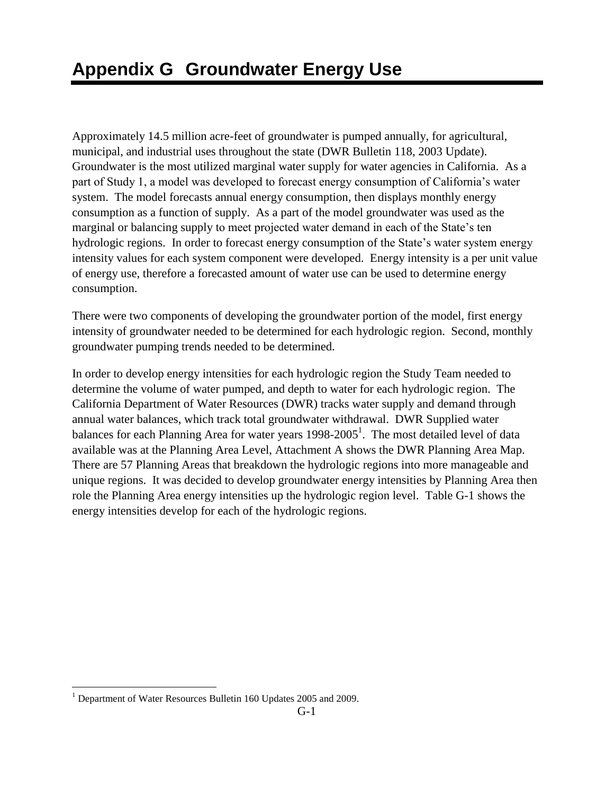Approximately 14.5 million acre-feet of groundwater is pumped annually, for agricultural, municipal, and industrial uses throughout the state (DWR Bulletin 118, 2003 Update). Groundwater is the most utilized marginal water supply for water agencies in California. As a part of Study 1, a model was developed to forecast energy consumption of California's water system. The model forecasts annual energy consumption, then displays monthly energy consumption as a function of supply. As a part of the model groundwater was used as the marginal or balancing supply to meet projected water demand in each of the State's ten hydrologic regions. In order to forecast energy consumption of the State's water system energy intensity values for each system component were developed. Energy intensity is a per unit value of energy use, therefore a forecasted amount of water use can be used to determine energy consumption.

There were two components of developing the groundwater portion of the model, first energy intensity of groundwater needed to be determined for each hydrologic region. Second, monthly groundwater pumping trends needed to be determined.

In order to develop energy intensities for each hydrologic region the Study Team needed to determine the volume of water pumped, and depth to water for each hydrologic region. The California Department of Water Resources (DWR) tracks water supply and demand through annual water balances, which track total groundwater withdrawal. DWR Supplied water balances for each Planning Area for water years 1998-2005<sup>1</sup>. The most detailed level of data available was at the Planning Area Level, Attachment A shows the DWR Planning Area Map. There are 57 Planning Areas that breakdown the hydrologic regions into more manageable and unique regions. It was decided to develop groundwater energy intensities by Planning Area then role the Planning Area energy intensities up the hydrologic region level. Table G-1 shows the energy intensities develop for each of the hydrologic regions.

 $\overline{a}$ 

 $1$  Department of Water Resources Bulletin 160 Updates 2005 and 2009.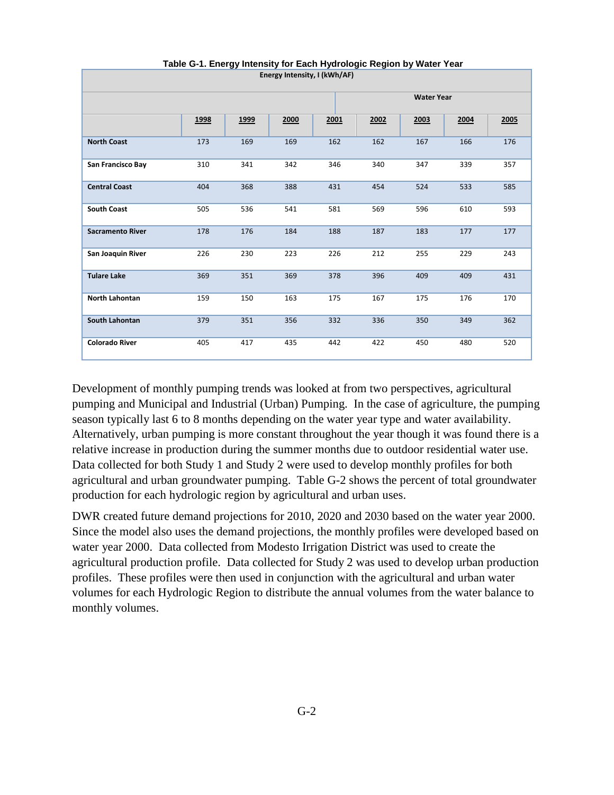| Energy Intensity, I (kWh/AF) |                   |      |      |      |      |      |      |      |  |  |  |
|------------------------------|-------------------|------|------|------|------|------|------|------|--|--|--|
|                              | <b>Water Year</b> |      |      |      |      |      |      |      |  |  |  |
|                              | 1998              | 1999 | 2000 | 2001 | 2002 | 2003 | 2004 | 2005 |  |  |  |
| <b>North Coast</b>           | 173               | 169  | 169  | 162  | 162  | 167  | 166  | 176  |  |  |  |
| San Francisco Bay            | 310               | 341  | 342  | 346  | 340  | 347  | 339  | 357  |  |  |  |
| <b>Central Coast</b>         | 404               | 368  | 388  | 431  | 454  | 524  | 533  | 585  |  |  |  |
| <b>South Coast</b>           | 505               | 536  | 541  | 581  | 569  | 596  | 610  | 593  |  |  |  |
| <b>Sacramento River</b>      | 178               | 176  | 184  | 188  | 187  | 183  | 177  | 177  |  |  |  |
| San Joaquin River            | 226               | 230  | 223  | 226  | 212  | 255  | 229  | 243  |  |  |  |
| <b>Tulare Lake</b>           | 369               | 351  | 369  | 378  | 396  | 409  | 409  | 431  |  |  |  |
| North Lahontan               | 159               | 150  | 163  | 175  | 167  | 175  | 176  | 170  |  |  |  |
| South Lahontan               | 379               | 351  | 356  | 332  | 336  | 350  | 349  | 362  |  |  |  |
| <b>Colorado River</b>        | 405               | 417  | 435  | 442  | 422  | 450  | 480  | 520  |  |  |  |

 **Table G-1. Energy Intensity for Each Hydrologic Region by Water Year**

Development of monthly pumping trends was looked at from two perspectives, agricultural pumping and Municipal and Industrial (Urban) Pumping. In the case of agriculture, the pumping season typically last 6 to 8 months depending on the water year type and water availability. Alternatively, urban pumping is more constant throughout the year though it was found there is a relative increase in production during the summer months due to outdoor residential water use. Data collected for both Study 1 and Study 2 were used to develop monthly profiles for both agricultural and urban groundwater pumping. Table G-2 shows the percent of total groundwater production for each hydrologic region by agricultural and urban uses.

DWR created future demand projections for 2010, 2020 and 2030 based on the water year 2000. Since the model also uses the demand projections, the monthly profiles were developed based on water year 2000. Data collected from Modesto Irrigation District was used to create the agricultural production profile. Data collected for Study 2 was used to develop urban production profiles. These profiles were then used in conjunction with the agricultural and urban water volumes for each Hydrologic Region to distribute the annual volumes from the water balance to monthly volumes.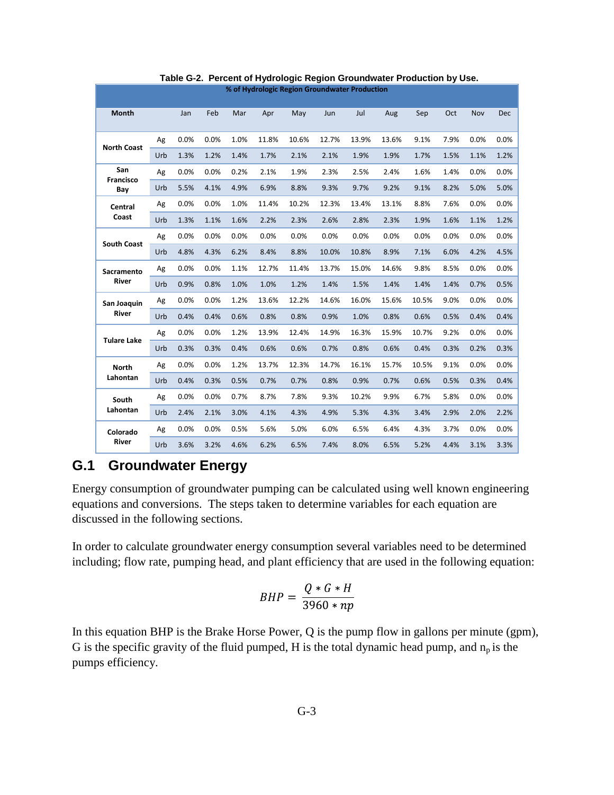| % of Hydrologic Region Groundwater Production |     |      |      |      |       |       |       |       |       |       |      |      |      |
|-----------------------------------------------|-----|------|------|------|-------|-------|-------|-------|-------|-------|------|------|------|
| <b>Month</b>                                  |     | Jan  | Feb  | Mar  | Apr   | May   | Jun   | Jul   | Aug   | Sep   | Oct  | Nov  | Dec  |
|                                               | Ag  | 0.0% | 0.0% | 1.0% | 11.8% | 10.6% | 12.7% | 13.9% | 13.6% | 9.1%  | 7.9% | 0.0% | 0.0% |
| <b>North Coast</b>                            | Urb | 1.3% | 1.2% | 1.4% | 1.7%  | 2.1%  | 2.1%  | 1.9%  | 1.9%  | 1.7%  | 1.5% | 1.1% | 1.2% |
| San<br>Francisco                              | Ag  | 0.0% | 0.0% | 0.2% | 2.1%  | 1.9%  | 2.3%  | 2.5%  | 2.4%  | 1.6%  | 1.4% | 0.0% | 0.0% |
| Bay                                           | Urb | 5.5% | 4.1% | 4.9% | 6.9%  | 8.8%  | 9.3%  | 9.7%  | 9.2%  | 9.1%  | 8.2% | 5.0% | 5.0% |
| Central                                       | Ag  | 0.0% | 0.0% | 1.0% | 11.4% | 10.2% | 12.3% | 13.4% | 13.1% | 8.8%  | 7.6% | 0.0% | 0.0% |
| Coast                                         | Urb | 1.3% | 1.1% | 1.6% | 2.2%  | 2.3%  | 2.6%  | 2.8%  | 2.3%  | 1.9%  | 1.6% | 1.1% | 1.2% |
|                                               | Ag  | 0.0% | 0.0% | 0.0% | 0.0%  | 0.0%  | 0.0%  | 0.0%  | 0.0%  | 0.0%  | 0.0% | 0.0% | 0.0% |
| <b>South Coast</b>                            | Urb | 4.8% | 4.3% | 6.2% | 8.4%  | 8.8%  | 10.0% | 10.8% | 8.9%  | 7.1%  | 6.0% | 4.2% | 4.5% |
| Sacramento<br>River                           | Ag  | 0.0% | 0.0% | 1.1% | 12.7% | 11.4% | 13.7% | 15.0% | 14.6% | 9.8%  | 8.5% | 0.0% | 0.0% |
|                                               | Urb | 0.9% | 0.8% | 1.0% | 1.0%  | 1.2%  | 1.4%  | 1.5%  | 1.4%  | 1.4%  | 1.4% | 0.7% | 0.5% |
| San Joaquin                                   | Ag  | 0.0% | 0.0% | 1.2% | 13.6% | 12.2% | 14.6% | 16.0% | 15.6% | 10.5% | 9.0% | 0.0% | 0.0% |
| <b>River</b>                                  | Urb | 0.4% | 0.4% | 0.6% | 0.8%  | 0.8%  | 0.9%  | 1.0%  | 0.8%  | 0.6%  | 0.5% | 0.4% | 0.4% |
| <b>Tulare Lake</b>                            | Ag  | 0.0% | 0.0% | 1.2% | 13.9% | 12.4% | 14.9% | 16.3% | 15.9% | 10.7% | 9.2% | 0.0% | 0.0% |
|                                               | Urb | 0.3% | 0.3% | 0.4% | 0.6%  | 0.6%  | 0.7%  | 0.8%  | 0.6%  | 0.4%  | 0.3% | 0.2% | 0.3% |
| <b>North</b>                                  | Ag  | 0.0% | 0.0% | 1.2% | 13.7% | 12.3% | 14.7% | 16.1% | 15.7% | 10.5% | 9.1% | 0.0% | 0.0% |
| Lahontan                                      | Urb | 0.4% | 0.3% | 0.5% | 0.7%  | 0.7%  | 0.8%  | 0.9%  | 0.7%  | 0.6%  | 0.5% | 0.3% | 0.4% |
| South                                         | Ag  | 0.0% | 0.0% | 0.7% | 8.7%  | 7.8%  | 9.3%  | 10.2% | 9.9%  | 6.7%  | 5.8% | 0.0% | 0.0% |
| Lahontan                                      | Urb | 2.4% | 2.1% | 3.0% | 4.1%  | 4.3%  | 4.9%  | 5.3%  | 4.3%  | 3.4%  | 2.9% | 2.0% | 2.2% |
| Colorado                                      | Ag  | 0.0% | 0.0% | 0.5% | 5.6%  | 5.0%  | 6.0%  | 6.5%  | 6.4%  | 4.3%  | 3.7% | 0.0% | 0.0% |
| River                                         | Urb | 3.6% | 3.2% | 4.6% | 6.2%  | 6.5%  | 7.4%  | 8.0%  | 6.5%  | 5.2%  | 4.4% | 3.1% | 3.3% |

 **Table G-2. Percent of Hydrologic Region Groundwater Production by Use.**

### **G.1 Groundwater Energy**

Energy consumption of groundwater pumping can be calculated using well known engineering equations and conversions. The steps taken to determine variables for each equation are discussed in the following sections.

In order to calculate groundwater energy consumption several variables need to be determined including; flow rate, pumping head, and plant efficiency that are used in the following equation:

$$
BHP = \frac{Q * G * H}{3960 * np}
$$

In this equation BHP is the Brake Horse Power, Q is the pump flow in gallons per minute (gpm), G is the specific gravity of the fluid pumped, H is the total dynamic head pump, and  $n_p$  is the pumps efficiency.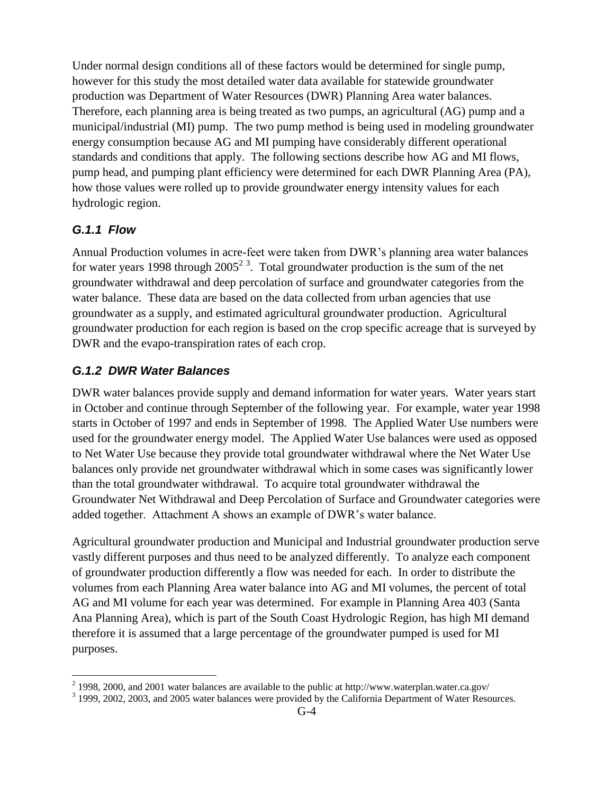Under normal design conditions all of these factors would be determined for single pump, however for this study the most detailed water data available for statewide groundwater production was Department of Water Resources (DWR) Planning Area water balances. Therefore, each planning area is being treated as two pumps, an agricultural (AG) pump and a municipal/industrial (MI) pump. The two pump method is being used in modeling groundwater energy consumption because AG and MI pumping have considerably different operational standards and conditions that apply. The following sections describe how AG and MI flows, pump head, and pumping plant efficiency were determined for each DWR Planning Area (PA), how those values were rolled up to provide groundwater energy intensity values for each hydrologic region.

#### *G.1.1 Flow*

 $\overline{a}$ 

Annual Production volumes in acre-feet were taken from DWR's planning area water balances for water years 1998 through  $2005^2$ <sup>3</sup>. Total groundwater production is the sum of the net groundwater withdrawal and deep percolation of surface and groundwater categories from the water balance. These data are based on the data collected from urban agencies that use groundwater as a supply, and estimated agricultural groundwater production. Agricultural groundwater production for each region is based on the crop specific acreage that is surveyed by DWR and the evapo-transpiration rates of each crop.

### *G.1.2 DWR Water Balances*

DWR water balances provide supply and demand information for water years. Water years start in October and continue through September of the following year. For example, water year 1998 starts in October of 1997 and ends in September of 1998. The Applied Water Use numbers were used for the groundwater energy model. The Applied Water Use balances were used as opposed to Net Water Use because they provide total groundwater withdrawal where the Net Water Use balances only provide net groundwater withdrawal which in some cases was significantly lower than the total groundwater withdrawal. To acquire total groundwater withdrawal the Groundwater Net Withdrawal and Deep Percolation of Surface and Groundwater categories were added together. Attachment A shows an example of DWR's water balance.

Agricultural groundwater production and Municipal and Industrial groundwater production serve vastly different purposes and thus need to be analyzed differently. To analyze each component of groundwater production differently a flow was needed for each. In order to distribute the volumes from each Planning Area water balance into AG and MI volumes, the percent of total AG and MI volume for each year was determined. For example in Planning Area 403 (Santa Ana Planning Area), which is part of the South Coast Hydrologic Region, has high MI demand therefore it is assumed that a large percentage of the groundwater pumped is used for MI purposes.

 $2$  1998, 2000, and 2001 water balances are available to the public at http://www.waterplan.water.ca.gov/

<sup>&</sup>lt;sup>3</sup> 1999, 2002, 2003, and 2005 water balances were provided by the California Department of Water Resources.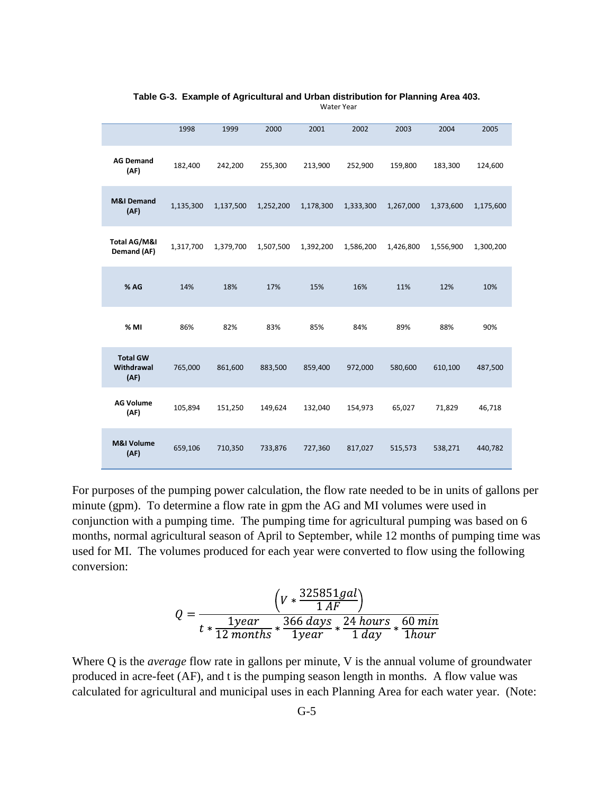|                                       | 1998      | 1999      | 2000      | 2001      | 2002      | 2003      | 2004      | 2005      |
|---------------------------------------|-----------|-----------|-----------|-----------|-----------|-----------|-----------|-----------|
| <b>AG Demand</b><br>(AF)              | 182,400   | 242,200   | 255,300   | 213,900   | 252,900   | 159,800   | 183,300   | 124,600   |
| <b>M&amp;I Demand</b><br>(AF)         | 1,135,300 | 1,137,500 | 1,252,200 | 1,178,300 | 1,333,300 | 1,267,000 | 1,373,600 | 1,175,600 |
| Total AG/M&I<br>Demand (AF)           | 1,317,700 | 1,379,700 | 1,507,500 | 1,392,200 | 1,586,200 | 1,426,800 | 1,556,900 | 1,300,200 |
| % AG                                  | 14%       | 18%       | 17%       | 15%       | 16%       | 11%       | 12%       | 10%       |
| % MI                                  | 86%       | 82%       | 83%       | 85%       | 84%       | 89%       | 88%       | 90%       |
| <b>Total GW</b><br>Withdrawal<br>(AF) | 765,000   | 861,600   | 883,500   | 859,400   | 972,000   | 580,600   | 610,100   | 487,500   |
| <b>AG Volume</b><br>(AF)              | 105,894   | 151,250   | 149,624   | 132,040   | 154,973   | 65,027    | 71,829    | 46,718    |
| <b>M&amp;I Volume</b><br>(AF)         | 659,106   | 710,350   | 733,876   | 727,360   | 817,027   | 515,573   | 538,271   | 440,782   |

**Table G-3. Example of Agricultural and Urban distribution for Planning Area 403.** Water Year

For purposes of the pumping power calculation, the flow rate needed to be in units of gallons per minute (gpm). To determine a flow rate in gpm the AG and MI volumes were used in conjunction with a pumping time. The pumping time for agricultural pumping was based on 6 months, normal agricultural season of April to September, while 12 months of pumping time was used for MI. The volumes produced for each year were converted to flow using the following conversion:

$$
Q = \frac{\left(V * \frac{325851 gal}{1 AF}\right)}{t * \frac{1 year}{12 months} * \frac{366 days}{1 year} * \frac{24 hours}{1 day} * \frac{60 min}{1 hour}}
$$

Where Q is the *average* flow rate in gallons per minute, V is the annual volume of groundwater produced in acre-feet (AF), and t is the pumping season length in months. A flow value was calculated for agricultural and municipal uses in each Planning Area for each water year. (Note: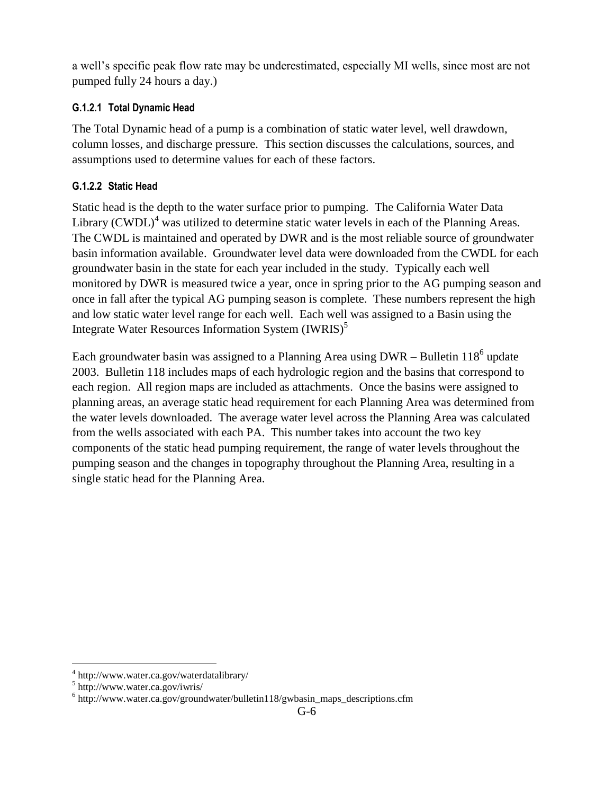a well's specific peak flow rate may be underestimated, especially MI wells, since most are not pumped fully 24 hours a day.)

#### **G.1.2.1 Total Dynamic Head**

The Total Dynamic head of a pump is a combination of static water level, well drawdown, column losses, and discharge pressure. This section discusses the calculations, sources, and assumptions used to determine values for each of these factors.

#### **G.1.2.2 Static Head**

Static head is the depth to the water surface prior to pumping. The California Water Data Library  $(CWDL)^4$  was utilized to determine static water levels in each of the Planning Areas. The CWDL is maintained and operated by DWR and is the most reliable source of groundwater basin information available. Groundwater level data were downloaded from the CWDL for each groundwater basin in the state for each year included in the study. Typically each well monitored by DWR is measured twice a year, once in spring prior to the AG pumping season and once in fall after the typical AG pumping season is complete. These numbers represent the high and low static water level range for each well. Each well was assigned to a Basin using the Integrate Water Resources Information System  $(IWRIS)^5$ 

Each groundwater basin was assigned to a Planning Area using  $DWR - B$ ulletin 118<sup>6</sup> update 2003. Bulletin 118 includes maps of each hydrologic region and the basins that correspond to each region. All region maps are included as attachments. Once the basins were assigned to planning areas, an average static head requirement for each Planning Area was determined from the water levels downloaded. The average water level across the Planning Area was calculated from the wells associated with each PA. This number takes into account the two key components of the static head pumping requirement, the range of water levels throughout the pumping season and the changes in topography throughout the Planning Area, resulting in a single static head for the Planning Area.

 $\overline{a}$ 

<sup>4</sup> http://www.water.ca.gov/waterdatalibrary/

<sup>5</sup> http://www.water.ca.gov/iwris/

<sup>&</sup>lt;sup>6</sup> http://www.water.ca.gov/groundwater/bulletin118/gwbasin\_maps\_descriptions.cfm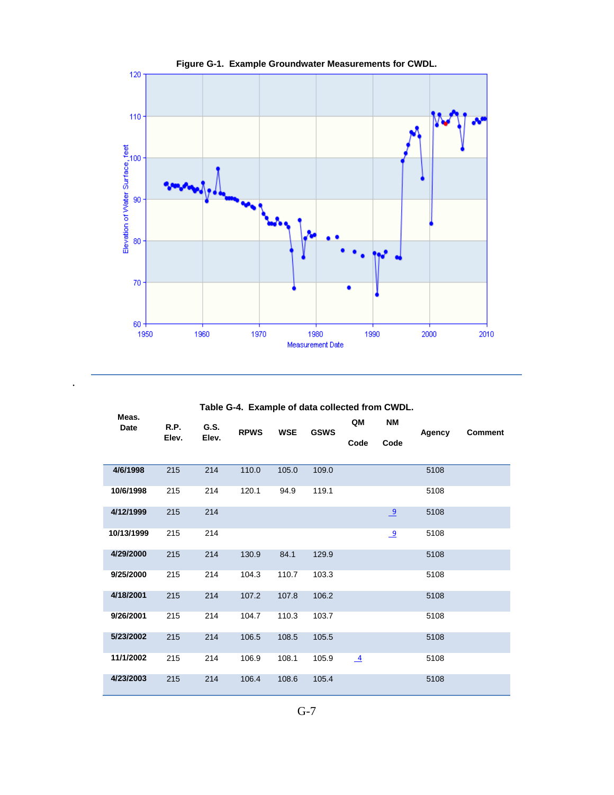

**Table G-4. Example of data collected from CWDL.**

.

| Meas.<br>Date | R.P.  | G.S.  |             |            |             | QM             | <b>NM</b>      |        |                |
|---------------|-------|-------|-------------|------------|-------------|----------------|----------------|--------|----------------|
|               | Elev. | Elev. | <b>RPWS</b> | <b>WSE</b> | <b>GSWS</b> | Code           | Code           | Agency | <b>Comment</b> |
|               |       |       |             |            |             |                |                |        |                |
| 4/6/1998      | 215   | 214   | 110.0       | 105.0      | 109.0       |                |                | 5108   |                |
| 10/6/1998     | 215   | 214   | 120.1       | 94.9       | 119.1       |                |                | 5108   |                |
| 4/12/1999     | 215   | 214   |             |            |             |                | $\overline{9}$ | 5108   |                |
| 10/13/1999    | 215   | 214   |             |            |             |                | $\overline{9}$ | 5108   |                |
| 4/29/2000     | 215   | 214   | 130.9       | 84.1       | 129.9       |                |                | 5108   |                |
| 9/25/2000     | 215   | 214   | 104.3       | 110.7      | 103.3       |                |                | 5108   |                |
| 4/18/2001     | 215   | 214   | 107.2       | 107.8      | 106.2       |                |                | 5108   |                |
| 9/26/2001     | 215   | 214   | 104.7       | 110.3      | 103.7       |                |                | 5108   |                |
| 5/23/2002     | 215   | 214   | 106.5       | 108.5      | 105.5       |                |                | 5108   |                |
| 11/1/2002     | 215   | 214   | 106.9       | 108.1      | 105.9       | $\overline{4}$ |                | 5108   |                |
| 4/23/2003     | 215   | 214   | 106.4       | 108.6      | 105.4       |                |                | 5108   |                |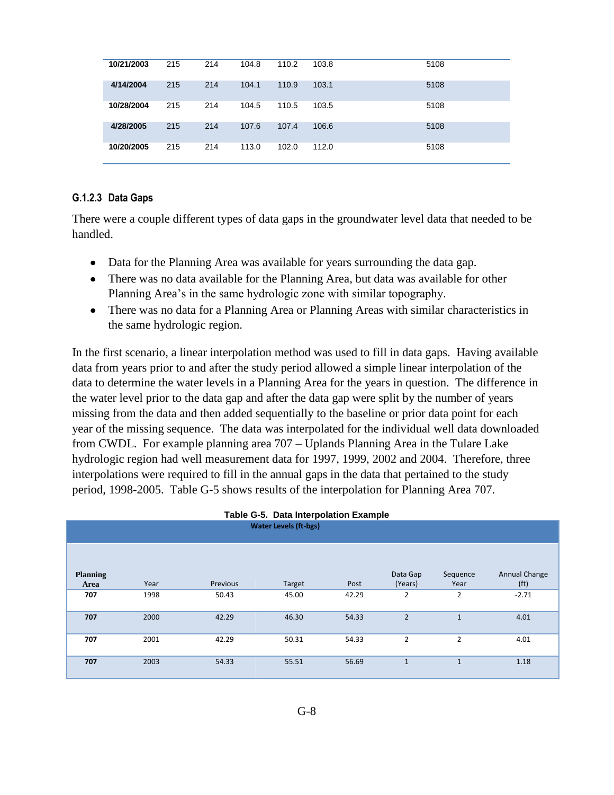| 10/21/2003 | 215 | 214 | 104.8 | 110.2 | 103.8 | 5108 |
|------------|-----|-----|-------|-------|-------|------|
| 4/14/2004  | 215 | 214 | 104.1 | 110.9 | 103.1 | 5108 |
| 10/28/2004 | 215 | 214 | 104.5 | 110.5 | 103.5 | 5108 |
| 4/28/2005  | 215 | 214 | 107.6 | 107.4 | 106.6 | 5108 |
| 10/20/2005 | 215 | 214 | 113.0 | 102.0 | 112.0 | 5108 |

#### **G.1.2.3 Data Gaps**

There were a couple different types of data gaps in the groundwater level data that needed to be handled.

- Data for the Planning Area was available for years surrounding the data gap.
- There was no data available for the Planning Area, but data was available for other Planning Area's in the same hydrologic zone with similar topography.
- There was no data for a Planning Area or Planning Areas with similar characteristics in the same hydrologic region.

In the first scenario, a linear interpolation method was used to fill in data gaps. Having available data from years prior to and after the study period allowed a simple linear interpolation of the data to determine the water levels in a Planning Area for the years in question. The difference in the water level prior to the data gap and after the data gap were split by the number of years missing from the data and then added sequentially to the baseline or prior data point for each year of the missing sequence. The data was interpolated for the individual well data downloaded from CWDL. For example planning area 707 – Uplands Planning Area in the Tulare Lake hydrologic region had well measurement data for 1997, 1999, 2002 and 2004. Therefore, three interpolations were required to fill in the annual gaps in the data that pertained to the study period, 1998-2005. Table G-5 shows results of the interpolation for Planning Area 707.

**Table G-5. Data Interpolation Example**

| Table G-5. Data Interpolation Example |      |          |        |       |                     |                  |                                    |  |  |  |  |
|---------------------------------------|------|----------|--------|-------|---------------------|------------------|------------------------------------|--|--|--|--|
| <b>Water Levels (ft-bgs)</b>          |      |          |        |       |                     |                  |                                    |  |  |  |  |
|                                       |      |          |        |       |                     |                  |                                    |  |  |  |  |
|                                       |      |          |        |       |                     |                  |                                    |  |  |  |  |
| <b>Planning</b><br>Area               | Year | Previous | Target | Post  | Data Gap<br>(Years) | Sequence<br>Year | Annual Change<br>(f <sup>t</sup> ) |  |  |  |  |
| 707                                   | 1998 | 50.43    | 45.00  | 42.29 | 2                   | $\overline{2}$   | $-2.71$                            |  |  |  |  |
| 707                                   | 2000 | 42.29    | 46.30  | 54.33 | $\overline{2}$      | $\mathbf{1}$     | 4.01                               |  |  |  |  |
| 707                                   | 2001 | 42.29    | 50.31  | 54.33 | $\overline{2}$      | $\overline{2}$   | 4.01                               |  |  |  |  |
| 707                                   | 2003 | 54.33    | 55.51  | 56.69 | $\mathbf{1}$        | $\mathbf{1}$     | 1.18                               |  |  |  |  |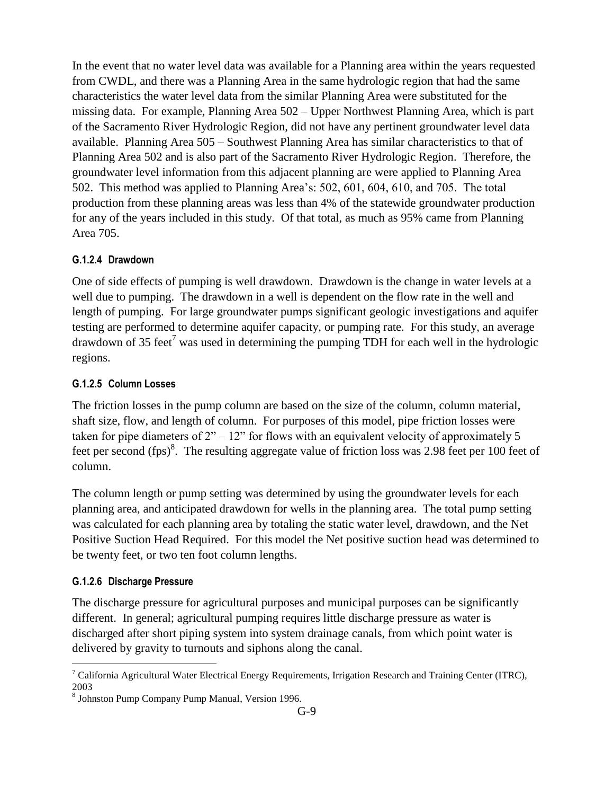In the event that no water level data was available for a Planning area within the years requested from CWDL, and there was a Planning Area in the same hydrologic region that had the same characteristics the water level data from the similar Planning Area were substituted for the missing data. For example, Planning Area 502 – Upper Northwest Planning Area, which is part of the Sacramento River Hydrologic Region, did not have any pertinent groundwater level data available. Planning Area 505 – Southwest Planning Area has similar characteristics to that of Planning Area 502 and is also part of the Sacramento River Hydrologic Region. Therefore, the groundwater level information from this adjacent planning are were applied to Planning Area 502. This method was applied to Planning Area's: 502, 601, 604, 610, and 705. The total production from these planning areas was less than 4% of the statewide groundwater production for any of the years included in this study. Of that total, as much as 95% came from Planning Area 705.

#### **G.1.2.4 Drawdown**

One of side effects of pumping is well drawdown. Drawdown is the change in water levels at a well due to pumping. The drawdown in a well is dependent on the flow rate in the well and length of pumping. For large groundwater pumps significant geologic investigations and aquifer testing are performed to determine aquifer capacity, or pumping rate. For this study, an average drawdown of 35 feet<sup>7</sup> was used in determining the pumping TDH for each well in the hydrologic regions.

#### **G.1.2.5 Column Losses**

The friction losses in the pump column are based on the size of the column, column material, shaft size, flow, and length of column. For purposes of this model, pipe friction losses were taken for pipe diameters of  $2<sup>n</sup> - 12<sup>n</sup>$  for flows with an equivalent velocity of approximately 5 feet per second  $(fps)^8$ . The resulting aggregate value of friction loss was 2.98 feet per 100 feet of column.

The column length or pump setting was determined by using the groundwater levels for each planning area, and anticipated drawdown for wells in the planning area. The total pump setting was calculated for each planning area by totaling the static water level, drawdown, and the Net Positive Suction Head Required. For this model the Net positive suction head was determined to be twenty feet, or two ten foot column lengths.

#### **G.1.2.6 Discharge Pressure**

 $\overline{a}$ 

The discharge pressure for agricultural purposes and municipal purposes can be significantly different. In general; agricultural pumping requires little discharge pressure as water is discharged after short piping system into system drainage canals, from which point water is delivered by gravity to turnouts and siphons along the canal.

 $7$  California Agricultural Water Electrical Energy Requirements, Irrigation Research and Training Center (ITRC), 2003

<sup>8</sup> Johnston Pump Company Pump Manual, Version 1996.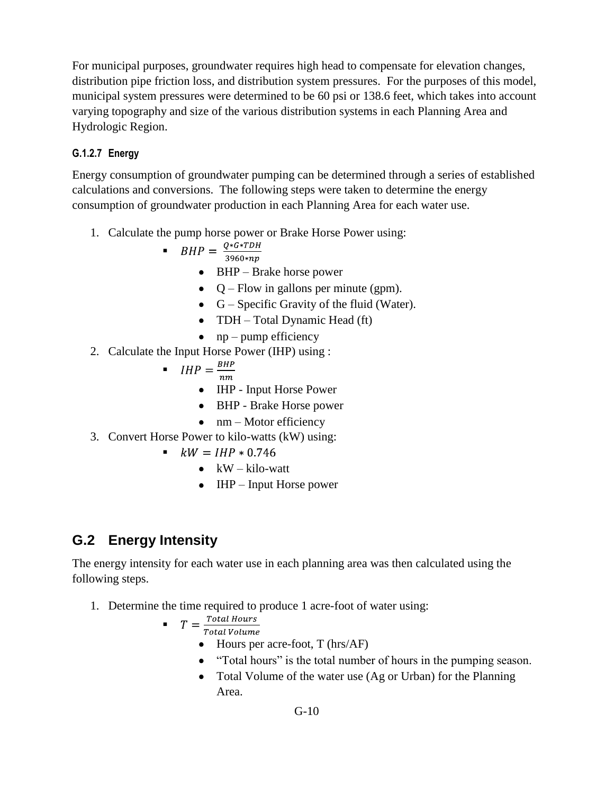For municipal purposes, groundwater requires high head to compensate for elevation changes, distribution pipe friction loss, and distribution system pressures. For the purposes of this model, municipal system pressures were determined to be 60 psi or 138.6 feet, which takes into account varying topography and size of the various distribution systems in each Planning Area and Hydrologic Region.

### **G.1.2.7 Energy**

Energy consumption of groundwater pumping can be determined through a series of established calculations and conversions. The following steps were taken to determine the energy consumption of groundwater production in each Planning Area for each water use.

1. Calculate the pump horse power or Brake Horse Power using:

$$
\bullet \quad BHP = \frac{Q * G * TDH}{3960 * np}
$$

- BHP Brake horse power
- $\bullet$  Q Flow in gallons per minute (gpm).
- G Specific Gravity of the fluid (Water).
- TDH Total Dynamic Head (ft)
- $\bullet$  np pump efficiency
- 2. Calculate the Input Horse Power (IHP) using :

$$
\blacksquare \quad IHP = \frac{BHP}{nm}
$$

- IHP Input Horse Power
- BHP Brake Horse power
- $\bullet$  nm Motor efficiency
- 3. Convert Horse Power to kilo-watts (kW) using:
	- $kW = IHP * 0.746$ 
		- $\bullet$  kW kilo-watt
		- IHP Input Horse power

## **G.2 Energy Intensity**

The energy intensity for each water use in each planning area was then calculated using the following steps.

1. Determine the time required to produce 1 acre-foot of water using:

$$
T = \frac{Total Hours}{TotalWalk}
$$

Total Volume

- $\bullet$  Hours per acre-foot, T (hrs/AF)
- "Total hours" is the total number of hours in the pumping season.
- Total Volume of the water use (Ag or Urban) for the Planning Area.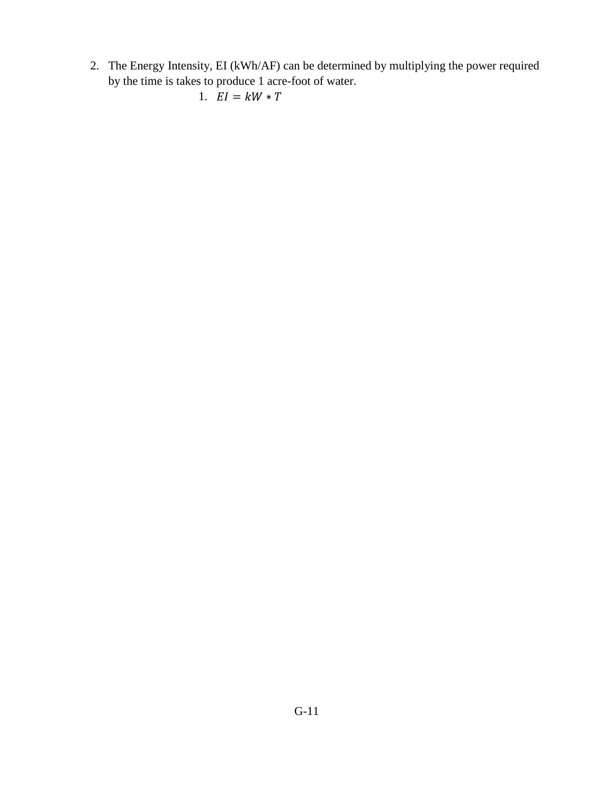2. The Energy Intensity, EI (kWh/AF) can be determined by multiplying the power required by the time is takes to produce 1 acre-foot of water.

```
1. EI = kW * T
```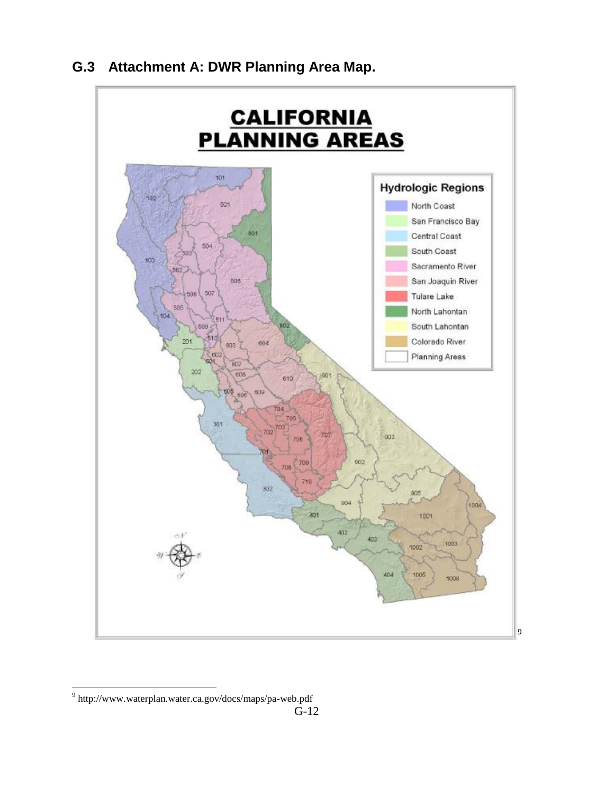

## **G.3 Attachment A: DWR Planning Area Map.**

 $\overline{a}$ 

<sup>&</sup>lt;sup>9</sup> http://www.waterplan.water.ca.gov/docs/maps/pa-web.pdf